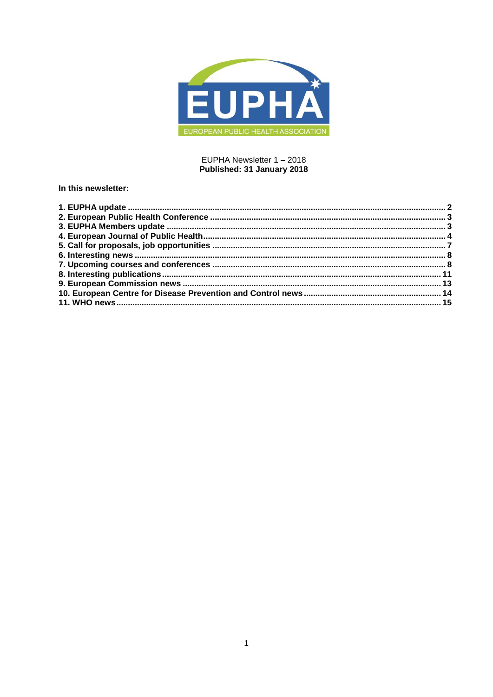

## EUPHA Newsletter 1 - 2018 Published: 31 January 2018

## In this newsletter: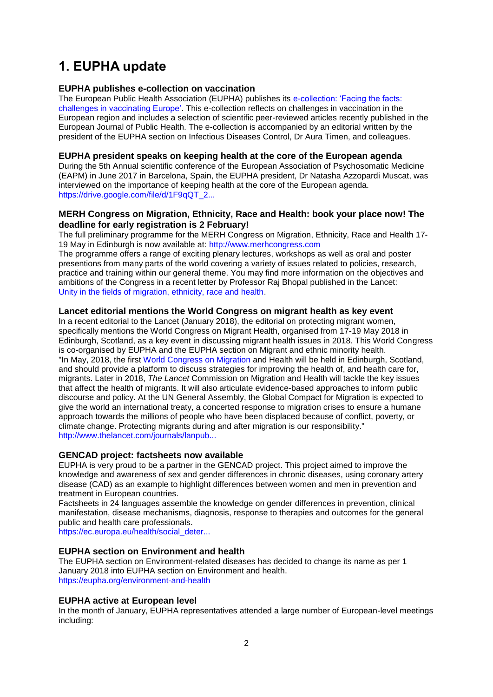# <span id="page-1-0"></span>**1. EUPHA update**

## **EUPHA publishes e-collection on vaccination**

The European Public Health Association (EUPHA) publishes its e-collection: 'Facing the facts: [challenges in vaccinating Europe'.](https://academic.oup.com/eurpub/pages/vaccination_issues) This e-collection reflects on challenges in vaccination in the European region and includes a selection of scientific peer-reviewed articles recently published in the European Journal of Public Health. The e-collection is accompanied by an editorial written by the president of the EUPHA section on Infectious Diseases Control, Dr Aura Timen, and colleagues.

## **EUPHA president speaks on keeping health at the core of the European agenda**

During the 5th Annual scientific conference of the European Association of Psychosomatic Medicine (EAPM) in June 2017 in Barcelona, Spain, the EUPHA president, Dr Natasha Azzopardi Muscat, was interviewed on the importance of keeping health at the core of the European agenda. [https://drive.google.com/file/d/1F9qQT\\_2...](https://drive.google.com/file/d/1F9qQT_2ElCrE6nHntfzuJNetB-cozA0h/view)

## **MERH Congress on Migration, Ethnicity, Race and Health: book your place now! The deadline for early registration is 2 February!**

The full preliminary programme for the MERH Congress on Migration, Ethnicity, Race and Health 17- 19 May in Edinburgh is now available at: [http://www.merhcongress.com](http://www.merhcongress.com/)

The programme offers a range of exciting plenary lectures, workshops as well as oral and poster presentions from many parts of the world covering a variety of issues related to policies, research, practice and training within our general theme. You may find more information on the objectives and ambitions of the Congress in a recent letter by Professor Raj Bhopal published in the Lancet: [Unity in the fields of migration, ethnicity, race and health.](http://lancet-alerts.elsevier.com/cgi-bin23/DM/x/nBI1g0ImPEI0ZlS0Bd1IQ0Eu)

## **Lancet editorial mentions the World Congress on migrant health as key event**

In a recent editorial to the Lancet (January 2018), the editorial on protecting migrant women, specifically mentions the World Congress on Migrant Health, organised from 17-19 May 2018 in Edinburgh, Scotland, as a key event in discussing migrant health issues in 2018. This World Congress is co-organised by EUPHA and the EUPHA section on Migrant and ethnic minority health. "In May, 2018, the first [World Congress on Migration](http://www.unhcr.org/569f8f419.pdf) and Health will be held in Edinburgh, Scotland, and should provide a platform to discuss strategies for improving the health of, and health care for, migrants. Later in 2018, *The Lancet* Commission on Migration and Health will tackle the key issues that affect the health of migrants. It will also articulate evidence-based approaches to inform public discourse and policy. At the UN General Assembly, the Global Compact for Migration is expected to give the world an international treaty, a concerted response to migration crises to ensure a humane approach towards the millions of people who have been displaced because of conflict, poverty, or climate change. Protecting migrants during and after migration is our responsibility." [http://www.thelancet.com/journals/lanpub...](http://www.thelancet.com/journals/lanpub/article/PIIS2468-2667(17)30244-X/fulltext?elsca1=etoc)

## **GENCAD project: factsheets now available**

EUPHA is very proud to be a partner in the GENCAD project. This project aimed to improve the knowledge and awareness of sex and gender differences in chronic diseases, using coronary artery disease (CAD) as an example to highlight differences between women and men in prevention and treatment in European countries.

Factsheets in 24 languages assemble the knowledge on gender differences in prevention, clinical manifestation, disease mechanisms, diagnosis, response to therapies and outcomes for the general public and health care professionals.

[https://ec.europa.eu/health/social\\_deter...](https://ec.europa.eu/health/social_determinants/projects/ep_funded_projects_en#fragm)

### **EUPHA section on Environment and health**

The EUPHA section on Environment-related diseases has decided to change its name as per 1 January 2018 into EUPHA section on Environment and health. <https://eupha.org/environment-and-health>

## **EUPHA active at European level**

In the month of January, EUPHA representatives attended a large number of European-level meetings including: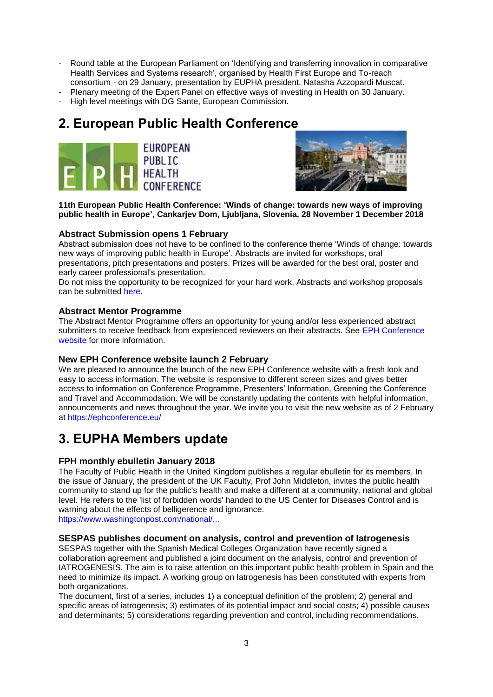- Round table at the European Parliament on 'Identifying and transferring innovation in comparative Health Services and Systems research', organised by Health First Europe and To-reach consortium - on 29 January, presentation by EUPHA president, Natasha Azzopardi Muscat.
- Plenary meeting of the Expert Panel on effective ways of investing in Health on 30 January.
- High level meetings with DG Sante, European Commission.

# <span id="page-2-0"></span>**2. European Public Health Conference**





**11th European Public Health Conference: 'Winds of change: towards new ways of improving public health in Europe', Cankarjev Dom, Ljubljana, Slovenia, 28 November 1 December 2018**

## **Abstract Submission opens 1 February**

Abstract submission does not have to be confined to the conference theme 'Winds of change: towards new ways of improving public health in Europe'. Abstracts are invited for workshops, oral presentations, pitch presentations and posters. Prizes will be awarded for the best oral, poster and early career professional's presentation.

Do not miss the opportunity to be recognized for your hard work. Abstracts and workshop proposals can be submitted [here.](https://ephconference.eu/)

## **Abstract Mentor Programme**

The Abstract Mentor Programme offers an opportunity for young and/or less experienced abstract submitters to receive feedback from experienced reviewers on their abstracts. See EPH Conference [website](https://ephconference.eu/) for more information.

## **New EPH Conference website launch 2 February**

We are pleased to announce the launch of the new EPH Conference website with a fresh look and easy to access information. The website is responsive to different screen sizes and gives better access to information on Conference Programme, Presenters' Information, Greening the Conference and Travel and Accommodation. We will be constantly updating the contents with helpful information, announcements and news throughout the year. We invite you to visit the new website as of 2 February at<https://ephconference.eu/>

## <span id="page-2-1"></span>**3. EUPHA Members update**

## **FPH monthly ebulletin January 2018**

The Faculty of Public Health in the United Kingdom publishes a regular ebulletin for its members. In the issue of January, the president of the UK Faculty, Prof John Middleton, invites the public health community to stand up for the public's health and make a different at a community, national and global level. He refers to the 'list of forbidden words' handed to the US Center for Diseases Control and is warning about the effects of belligerence and ignorance. [https://www.washingtonpost.com/national/...](https://www.washingtonpost.com/national/health-science/cdc-gets-list-of-forbidden-words-fetus-transgender-diversity/2017/12/15/f503837a-e1cf-11e7-89e8-edec16379010_story.html?tid=ss_fb-amp&utm_term=.1)

## **SESPAS publishes document on analysis, control and prevention of Iatrogenesis**

SESPAS together with the Spanish Medical Colleges Organization have recently signed a collaboration agreement and published a joint document on the analysis, control and prevention of IATROGENESIS. The aim is to raise attention on this important public health problem in Spain and the need to minimize its impact. A working group on Iatrogenesis has been constituted with experts from both organizations.

The document, first of a series, includes 1) a conceptual definition of the problem; 2) general and specific areas of iatrogenesis; 3) estimates of its potential impact and social costs; 4) possible causes and determinants; 5) considerations regarding prevention and control, including recommendations.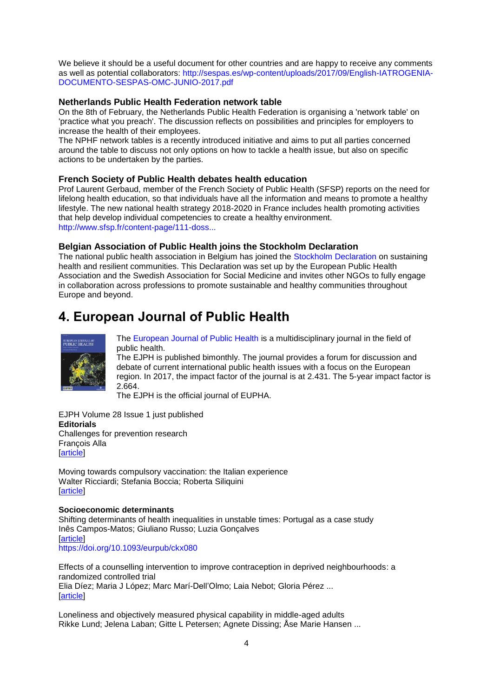We believe it should be a useful document for other countries and are happy to receive any comments as well as potential collaborators: [http://sespas.es/wp-content/uploads/2017/09/English-IATROGENIA-](http://sespas.es/wp-content/uploads/2017/09/English-IATROGENIA-DOCUMENTO-SESPAS-OMC-JUNIO-2017.pdf)[DOCUMENTO-SESPAS-OMC-JUNIO-2017.pdf](http://sespas.es/wp-content/uploads/2017/09/English-IATROGENIA-DOCUMENTO-SESPAS-OMC-JUNIO-2017.pdf)

## **Netherlands Public Health Federation network table**

On the 8th of February, the Netherlands Public Health Federation is organising a 'network table' on 'practice what you preach'. The discussion reflects on possibilities and principles for employers to increase the health of their employees.

The NPHF network tables is a recently introduced initiative and aims to put all parties concerned around the table to discuss not only options on how to tackle a health issue, but also on specific actions to be undertaken by the parties.

## **French Society of Public Health debates health education**

Prof Laurent Gerbaud, member of the French Society of Public Health (SFSP) reports on the need for lifelong health education, so that individuals have all the information and means to promote a healthy lifestyle. The new national health strategy 2018-2020 in France includes health promoting activities that help develop individual competencies to create a healthy environment. [http://www.sfsp.fr/content-page/111-doss...](http://www.sfsp.fr/content-page/111-dossiers-documentaires/9778-education-pour-la-sante#liens-utiles)

## **Belgian Association of Public Health joins the Stockholm Declaration**

The national public health association in Belgium has joined the [Stockholm Declaration](https://eupha.org/repository/advocacy/Stockholm_declaration/Stockholm_declaration_7.pdf) on sustaining health and resilient communities. This Declaration was set up by the European Public Health Association and the Swedish Association for Social Medicine and invites other NGOs to fully engage in collaboration across professions to promote sustainable and healthy communities throughout Europe and beyond.

# <span id="page-3-0"></span>**4. European Journal of Public Health**



[The European Journal of Public Health](http://eurpub.oxfordjournals.org/) is a multidisciplinary journal in the field of public health.

The EJPH is published bimonthly. The journal provides a forum for discussion and debate of current international public health issues with a focus on the European region. In 2017, the impact factor of the journal is at 2.431. The 5-year impact factor is 2.664.

The EJPH is the official journal of EUPHA.

EJPH Volume 28 Issue 1 just published **Editorials** [Challenges for prevention research](http://euphapedia.eupha.org/newsletter/https:/academic.oup.com/eurpub/article/28/1/1/4811963) [François Alla](http://euphapedia.eupha.org/newsletter/https:/academic.oup.com/eurpub/search-results?f_Authors=Fran%c3%a7ois+Alla) **Tarticle1** 

[Moving towards compulsory vaccination: the Italian experience](http://euphapedia.eupha.org/newsletter/https:/academic.oup.com/eurpub/article/28/1/2/4811969) [Walter Ricciardi;](http://euphapedia.eupha.org/newsletter/https:/academic.oup.com/eurpub/search-results?f_Authors=Walter+Ricciardi) [Stefania Boccia;](http://euphapedia.eupha.org/newsletter/https:/academic.oup.com/eurpub/search-results?f_Authors=Stefania+Boccia) [Roberta Siliquini](http://euphapedia.eupha.org/newsletter/https:/academic.oup.com/eurpub/search-results?f_Authors=Roberta+Siliquini) [\[article\]](https://doi.org/10.1093/eurpub/ckx214)

#### **Socioeconomic determinants**

[Shifting determinants of health inequalities in unstable times: Portugal as a case study](http://euphapedia.eupha.org/newsletter/https:/academic.oup.com/eurpub/article/28/1/4/3860927) [Inês Campos-Matos;](http://euphapedia.eupha.org/newsletter/https:/academic.oup.com/eurpub/search-results?f_Authors=In%c3%aas+Campos-Matos) [Giuliano Russo;](http://euphapedia.eupha.org/newsletter/https:/academic.oup.com/eurpub/search-results?f_Authors=Giuliano+Russo) [Luzia Gonçalves](http://euphapedia.eupha.org/newsletter/https:/academic.oup.com/eurpub/search-results?f_Authors=Luzia+Gon%c3%a7alves) **Tarticle1** [https://doi.org/10.1093/eurpub/ckx080](http://euphapedia.eupha.org/newsletter/https:/doi.org/10.1093/eurpub/ckx080)

[Effects of a counselling intervention to improve contraception in deprived neighbourhoods: a](http://euphapedia.eupha.org/newsletter/https:/academic.oup.com/eurpub/article/28/1/10/3739765)  [randomized controlled trial](http://euphapedia.eupha.org/newsletter/https:/academic.oup.com/eurpub/article/28/1/10/3739765) [Elia Díez;](http://euphapedia.eupha.org/newsletter/https:/academic.oup.com/eurpub/search-results?f_Authors=Elia+D%c3%adez) [Maria J López;](http://euphapedia.eupha.org/newsletter/https:/academic.oup.com/eurpub/search-results?f_Authors=Maria+J+L%c3%b3pez) [Marc Marí-Dell'Olmo;](http://euphapedia.eupha.org/newsletter/https:/academic.oup.com/eurpub/search-results?f_Authors=Marc+Mar%c3%ad-Dell%e2%80%99Olmo) [Laia Nebot;](http://euphapedia.eupha.org/newsletter/https:/academic.oup.com/eurpub/search-results?f_Authors=Laia+Nebot) [Gloria Pérez](http://euphapedia.eupha.org/newsletter/https:/academic.oup.com/eurpub/search-results?f_Authors=Gloria+P%c3%a9rez) ... **Tarticle1** 

[Loneliness and objectively measured physical capability in middle-aged adults](http://euphapedia.eupha.org/newsletter/https:/academic.oup.com/eurpub/article/28/1/16/3854995) [Rikke Lund;](http://euphapedia.eupha.org/newsletter/https:/academic.oup.com/eurpub/search-results?f_Authors=Rikke+Lund) [Jelena Laban;](http://euphapedia.eupha.org/newsletter/https:/academic.oup.com/eurpub/search-results?f_Authors=Jelena+Laban) [Gitte L Petersen;](http://euphapedia.eupha.org/newsletter/https:/academic.oup.com/eurpub/search-results?f_Authors=Gitte+L+Petersen) [Agnete Dissing;](http://euphapedia.eupha.org/newsletter/https:/academic.oup.com/eurpub/search-results?f_Authors=Agnete+Dissing) [Åse Marie Hansen](http://euphapedia.eupha.org/newsletter/https:/academic.oup.com/eurpub/search-results?f_Authors=%c3%85se+Marie+Hansen) ...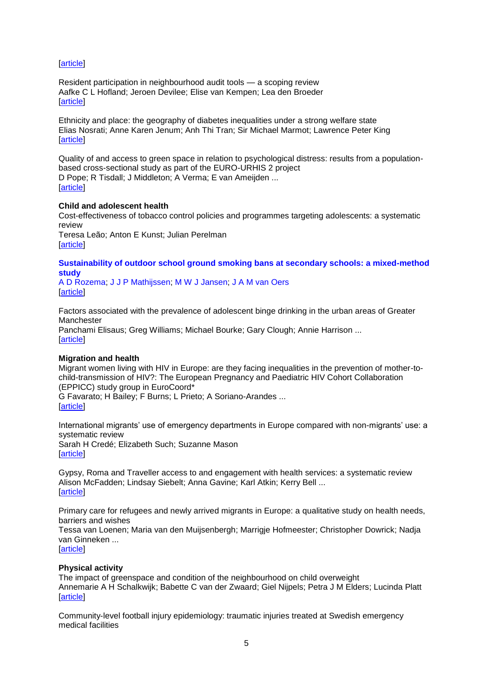[\[article\]](https://doi.org/10.1093/eurpub/ckx069)

[Resident participation in neighbourhood audit tools —](http://euphapedia.eupha.org/newsletter/https:/academic.oup.com/eurpub/article/28/1/23/3861127) a scoping review [Aafke C L Hofland;](http://euphapedia.eupha.org/newsletter/https:/academic.oup.com/eurpub/search-results?f_Authors=Aafke+C+L+Hofland) [Jeroen Devilee;](http://euphapedia.eupha.org/newsletter/https:/academic.oup.com/eurpub/search-results?f_Authors=Jeroen+Devilee) [Elise van Kempen;](http://euphapedia.eupha.org/newsletter/https:/academic.oup.com/eurpub/search-results?f_Authors=Elise+van+Kempen) [Lea den Broeder](http://euphapedia.eupha.org/newsletter/https:/academic.oup.com/eurpub/search-results?f_Authors=Lea+den+Broeder) **Tarticle1** 

Ethnicity and place: [the geography of diabetes inequalities under a strong welfare state](http://euphapedia.eupha.org/newsletter/https:/academic.oup.com/eurpub/article/28/1/30/4430790) [Elias Nosrati;](http://euphapedia.eupha.org/newsletter/https:/academic.oup.com/eurpub/search-results?f_Authors=Elias+Nosrati) [Anne Karen Jenum;](http://euphapedia.eupha.org/newsletter/https:/academic.oup.com/eurpub/search-results?f_Authors=Anne+Karen+Jenum) [Anh Thi Tran;](http://euphapedia.eupha.org/newsletter/https:/academic.oup.com/eurpub/search-results?f_Authors=Anh+Thi+Tran) [Sir Michael Marmot;](http://euphapedia.eupha.org/newsletter/https:/academic.oup.com/eurpub/search-results?f_Authors=Sir+Michael+Marmot) [Lawrence Peter King](http://euphapedia.eupha.org/newsletter/https:/academic.oup.com/eurpub/search-results?f_Authors=Lawrence+Peter+King) [\[article\]](https://doi.org/10.1093/eurpub/ckx119)

[Quality of and access to green space in relation to psychological distress: results from a population](http://euphapedia.eupha.org/newsletter/https:/academic.oup.com/eurpub/article/28/1/35/2907856)[based cross-sectional study as part of the EURO-URHIS 2 project](http://euphapedia.eupha.org/newsletter/https:/academic.oup.com/eurpub/article/28/1/35/2907856) [D Pope;](http://euphapedia.eupha.org/newsletter/https:/academic.oup.com/eurpub/search-results?f_Authors=D+Pope) [R Tisdall;](http://euphapedia.eupha.org/newsletter/https:/academic.oup.com/eurpub/search-results?f_Authors=R+Tisdall) [J Middleton;](http://euphapedia.eupha.org/newsletter/https:/academic.oup.com/eurpub/search-results?f_Authors=J+Middleton) [A Verma;](http://euphapedia.eupha.org/newsletter/https:/academic.oup.com/eurpub/search-results?f_Authors=A+Verma) [E van Ameijden](http://euphapedia.eupha.org/newsletter/https:/academic.oup.com/eurpub/search-results?f_Authors=E+van+Ameijden) ... [\[article\]](https://doi.org/10.1093/eurpub/ckv094)

#### **Child and adolescent health**

[Cost-effectiveness of tobacco control policies and programmes targeting adolescents: a systematic](http://euphapedia.eupha.org/newsletter/https:/academic.oup.com/eurpub/article/28/1/39/4753709)  [review](http://euphapedia.eupha.org/newsletter/https:/academic.oup.com/eurpub/article/28/1/39/4753709)

[Teresa Leão;](http://euphapedia.eupha.org/newsletter/https:/academic.oup.com/eurpub/search-results?f_Authors=Teresa+Le%c3%a3o) [Anton E Kunst;](http://euphapedia.eupha.org/newsletter/https:/academic.oup.com/eurpub/search-results?f_Authors=Anton+E+Kunst) [Julian Perelman](http://euphapedia.eupha.org/newsletter/https:/academic.oup.com/eurpub/search-results?f_Authors=Julian+Perelman) **[\[article\]](https://doi.org/10.1093/eurpub/ckx215)** 

## **[Sustainability of outdoor school ground smoking bans at secondary schools: a mixed-method](http://euphapedia.eupha.org/newsletter/https:/academic.oup.com/eurpub/article/28/1/43/3960237)  [study](http://euphapedia.eupha.org/newsletter/https:/academic.oup.com/eurpub/article/28/1/43/3960237)**

[A D Rozema;](http://euphapedia.eupha.org/newsletter/https:/academic.oup.com/eurpub/search-results?f_Authors=A+D+Rozema) [J J P Mathijssen;](http://euphapedia.eupha.org/newsletter/https:/academic.oup.com/eurpub/search-results?f_Authors=J+J+P+Mathijssen) [M W J Jansen;](http://euphapedia.eupha.org/newsletter/https:/academic.oup.com/eurpub/search-results?f_Authors=M+W+J+Jansen) [J A M van Oers](http://euphapedia.eupha.org/newsletter/https:/academic.oup.com/eurpub/search-results?f_Authors=J+A+M+van+Oers) [\[article\]](https://doi.org/10.1093/eurpub/ckx099)

[Factors associated with the prevalence of adolescent binge drinking in the urban areas of Greater](http://euphapedia.eupha.org/newsletter/https:/academic.oup.com/eurpub/article/28/1/49/2907872)  [Manchester](http://euphapedia.eupha.org/newsletter/https:/academic.oup.com/eurpub/article/28/1/49/2907872) [Panchami Elisaus;](http://euphapedia.eupha.org/newsletter/https:/academic.oup.com/eurpub/search-results?f_Authors=Panchami+Elisaus) [Greg Williams;](http://euphapedia.eupha.org/newsletter/https:/academic.oup.com/eurpub/search-results?f_Authors=Greg+Williams) [Michael Bourke;](http://euphapedia.eupha.org/newsletter/https:/academic.oup.com/eurpub/search-results?f_Authors=Michael+Bourke) [Gary Clough;](http://euphapedia.eupha.org/newsletter/https:/academic.oup.com/eurpub/search-results?f_Authors=Gary+Clough) [Annie Harrison](http://euphapedia.eupha.org/newsletter/https:/academic.oup.com/eurpub/search-results?f_Authors=Annie+Harrison) ... [\[article\]](https://doi.org/10.1093/eurpub/ckv115)

#### **Migration and health**

[Migrant women living with HIV in Europe: are they facing inequalities in the prevention of mother-to](http://euphapedia.eupha.org/newsletter/https:/academic.oup.com/eurpub/article/28/1/55/3760079)[child-transmission of HIV?: The European Pregnancy and Paediatric HIV Cohort Collaboration](http://euphapedia.eupha.org/newsletter/https:/academic.oup.com/eurpub/article/28/1/55/3760079)  [\(EPPICC\) study group in EuroCoord\\*](http://euphapedia.eupha.org/newsletter/https:/academic.oup.com/eurpub/article/28/1/55/3760079)

[G Favarato;](http://euphapedia.eupha.org/newsletter/https:/academic.oup.com/eurpub/search-results?f_Authors=G+Favarato) [H Bailey;](http://euphapedia.eupha.org/newsletter/https:/academic.oup.com/eurpub/search-results?f_Authors=H+Bailey) [F Burns;](http://euphapedia.eupha.org/newsletter/https:/academic.oup.com/eurpub/search-results?f_Authors=F+Burns) [L Prieto;](http://euphapedia.eupha.org/newsletter/https:/academic.oup.com/eurpub/search-results?f_Authors=L+Prieto) [A Soriano-Arandes](http://euphapedia.eupha.org/newsletter/https:/academic.oup.com/eurpub/search-results?f_Authors=A+Soriano-Arandes) ... [\[article\]](https://doi.org/10.1093/eurpub/ckx048)

[International migrants' use of emergency departments in Europe compared with non-migrants' use: a](http://euphapedia.eupha.org/newsletter/https:/academic.oup.com/eurpub/article/28/1/61/3828489)  [systematic review](http://euphapedia.eupha.org/newsletter/https:/academic.oup.com/eurpub/article/28/1/61/3828489) [Sarah H Credé;](http://euphapedia.eupha.org/newsletter/https:/academic.oup.com/eurpub/search-results?f_Authors=Sarah+H+Cred%c3%a9) [Elizabeth Such;](http://euphapedia.eupha.org/newsletter/https:/academic.oup.com/eurpub/search-results?f_Authors=Elizabeth+Such) [Suzanne Mason](http://euphapedia.eupha.org/newsletter/https:/academic.oup.com/eurpub/search-results?f_Authors=Suzanne+Mason) [\[article\]](https://doi.org/10.1093/eurpub/ckx057)

[Gypsy, Roma and Traveller access to and engagement with health services: a systematic review](http://euphapedia.eupha.org/newsletter/https:/academic.oup.com/eurpub/article/28/1/74/4811973) [Alison McFadden;](http://euphapedia.eupha.org/newsletter/https:/academic.oup.com/eurpub/search-results?f_Authors=Alison+McFadden) [Lindsay Siebelt;](http://euphapedia.eupha.org/newsletter/https:/academic.oup.com/eurpub/search-results?f_Authors=Lindsay+Siebelt) [Anna Gavine;](http://euphapedia.eupha.org/newsletter/https:/academic.oup.com/eurpub/search-results?f_Authors=Anna+Gavine) [Karl Atkin;](http://euphapedia.eupha.org/newsletter/https:/academic.oup.com/eurpub/search-results?f_Authors=Karl+Atkin) [Kerry Bell](http://euphapedia.eupha.org/newsletter/https:/academic.oup.com/eurpub/search-results?f_Authors=Kerry+Bell) ... [\[article\]](https://doi.org/10.1093/eurpub/ckx226)

[Primary care for refugees and newly arrived migrants in Europe: a](http://euphapedia.eupha.org/newsletter/https:/academic.oup.com/eurpub/article/28/1/82/4732525) qualitative study on health needs, [barriers and wishes](http://euphapedia.eupha.org/newsletter/https:/academic.oup.com/eurpub/article/28/1/82/4732525)

[Tessa van Loenen;](http://euphapedia.eupha.org/newsletter/https:/academic.oup.com/eurpub/search-results?f_Authors=Tessa+van+Loenen) [Maria van den Muijsenbergh;](http://euphapedia.eupha.org/newsletter/https:/academic.oup.com/eurpub/search-results?f_Authors=Maria+van+den+Muijsenbergh) [Marrigje Hofmeester;](http://euphapedia.eupha.org/newsletter/https:/academic.oup.com/eurpub/search-results?f_Authors=Marrigje+Hofmeester) [Christopher Dowrick;](http://euphapedia.eupha.org/newsletter/https:/academic.oup.com/eurpub/search-results?f_Authors=Christopher+Dowrick) [Nadja](http://euphapedia.eupha.org/newsletter/https:/academic.oup.com/eurpub/search-results?f_Authors=Nadja+van+Ginneken)  [van Ginneken](http://euphapedia.eupha.org/newsletter/https:/academic.oup.com/eurpub/search-results?f_Authors=Nadja+van+Ginneken) ... **Tarticle1** 

#### **Physical activity**

[The impact of greenspace and condition of the neighbourhood on child overweight](http://euphapedia.eupha.org/newsletter/https:/academic.oup.com/eurpub/article/28/1/88/3077015) [Annemarie A H Schalkwijk;](http://euphapedia.eupha.org/newsletter/https:/academic.oup.com/eurpub/search-results?f_Authors=Annemarie+A+H+Schalkwijk) [Babette C van der Zwaard;](http://euphapedia.eupha.org/newsletter/https:/academic.oup.com/eurpub/search-results?f_Authors=Babette+C+van+der+Zwaard) [Giel Nijpels;](http://euphapedia.eupha.org/newsletter/https:/academic.oup.com/eurpub/search-results?f_Authors=Giel+Nijpels) [Petra J M Elders;](http://euphapedia.eupha.org/newsletter/https:/academic.oup.com/eurpub/search-results?f_Authors=Petra+J+M+Elders) [Lucinda Platt](http://euphapedia.eupha.org/newsletter/https:/academic.oup.com/eurpub/search-results?f_Authors=Lucinda+Platt) [\[article\]](https://doi.org/10.1093/eurpub/ckx037)

Community-level [football injury epidemiology: traumatic injuries treated at Swedish emergency](http://euphapedia.eupha.org/newsletter/https:/academic.oup.com/eurpub/article/28/1/94/3828488)  [medical facilities](http://euphapedia.eupha.org/newsletter/https:/academic.oup.com/eurpub/article/28/1/94/3828488)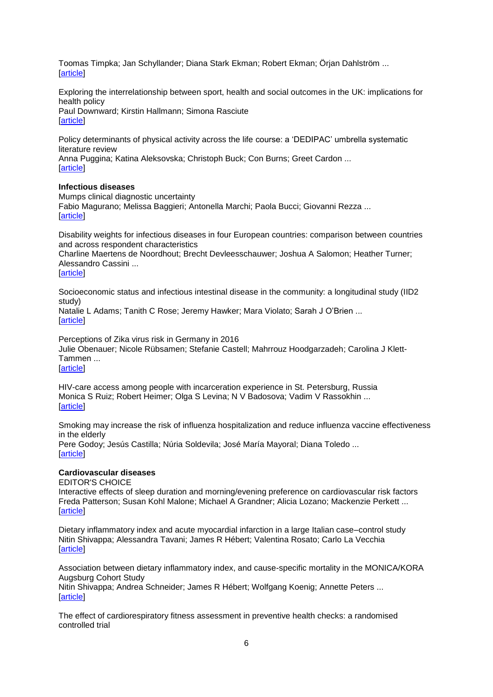[Toomas Timpka;](http://euphapedia.eupha.org/newsletter/https:/academic.oup.com/eurpub/search-results?f_Authors=Toomas+Timpka) [Jan Schyllander;](http://euphapedia.eupha.org/newsletter/https:/academic.oup.com/eurpub/search-results?f_Authors=Jan+Schyllander) [Diana Stark Ekman;](http://euphapedia.eupha.org/newsletter/https:/academic.oup.com/eurpub/search-results?f_Authors=Diana+Stark+Ekman) [Robert Ekman;](http://euphapedia.eupha.org/newsletter/https:/academic.oup.com/eurpub/search-results?f_Authors=Robert+Ekman) [Örjan Dahlström](http://euphapedia.eupha.org/newsletter/https:/academic.oup.com/eurpub/search-results?f_Authors=%c3%96rjan+Dahlstr%c3%b6m) ... [\[article\]](https://doi.org/10.1093/eurpub/ckx053)

[Exploring the interrelationship between sport, health and social outcomes in the UK: implications for](http://euphapedia.eupha.org/newsletter/https:/academic.oup.com/eurpub/article/28/1/99/3828523)  [health policy](http://euphapedia.eupha.org/newsletter/https:/academic.oup.com/eurpub/article/28/1/99/3828523) [Paul Downward;](http://euphapedia.eupha.org/newsletter/https:/academic.oup.com/eurpub/search-results?f_Authors=Paul+Downward) [Kirstin Hallmann;](http://euphapedia.eupha.org/newsletter/https:/academic.oup.com/eurpub/search-results?f_Authors=Kirstin+Hallmann) [Simona Rasciute](http://euphapedia.eupha.org/newsletter/https:/academic.oup.com/eurpub/search-results?f_Authors=Simona+Rasciute)

[\[article\]](https://doi.org/10.1093/eurpub/ckx063)

[Policy determinants of physical activity across the life](http://euphapedia.eupha.org/newsletter/https:/academic.oup.com/eurpub/article/28/1/105/4557560) course: a 'DEDIPAC' umbrella systematic [literature review](http://euphapedia.eupha.org/newsletter/https:/academic.oup.com/eurpub/article/28/1/105/4557560)

[Anna Puggina;](http://euphapedia.eupha.org/newsletter/https:/academic.oup.com/eurpub/search-results?f_Authors=Anna+Puggina) [Katina Aleksovska;](http://euphapedia.eupha.org/newsletter/https:/academic.oup.com/eurpub/search-results?f_Authors=Katina+Aleksovska) [Christoph Buck;](http://euphapedia.eupha.org/newsletter/https:/academic.oup.com/eurpub/search-results?f_Authors=Christoph+Buck) [Con Burns;](http://euphapedia.eupha.org/newsletter/https:/academic.oup.com/eurpub/search-results?f_Authors=Con+Burns) [Greet Cardon](http://euphapedia.eupha.org/newsletter/https:/academic.oup.com/eurpub/search-results?f_Authors=Greet+Cardon) ... [\[article\]](https://doi.org/10.1093/eurpub/ckx174)

### **Infectious diseases**

[Mumps clinical diagnostic uncertainty](http://euphapedia.eupha.org/newsletter/https:/academic.oup.com/eurpub/article/28/1/119/3867015) [Fabio Magurano;](http://euphapedia.eupha.org/newsletter/https:/academic.oup.com/eurpub/search-results?f_Authors=Fabio+Magurano) [Melissa Baggieri;](http://euphapedia.eupha.org/newsletter/https:/academic.oup.com/eurpub/search-results?f_Authors=Melissa+Baggieri) [Antonella Marchi;](http://euphapedia.eupha.org/newsletter/https:/academic.oup.com/eurpub/search-results?f_Authors=Antonella+Marchi) [Paola Bucci;](http://euphapedia.eupha.org/newsletter/https:/academic.oup.com/eurpub/search-results?f_Authors=Paola+Bucci) [Giovanni Rezza](http://euphapedia.eupha.org/newsletter/https:/academic.oup.com/eurpub/search-results?f_Authors=Giovanni+Rezza) ... **Tarticle1** 

[Disability weights for infectious diseases in four European countries: comparison between countries](http://euphapedia.eupha.org/newsletter/https:/academic.oup.com/eurpub/article/28/1/124/4111224)  [and across respondent characteristics](http://euphapedia.eupha.org/newsletter/https:/academic.oup.com/eurpub/article/28/1/124/4111224)

[Charline Maertens de Noordhout;](http://euphapedia.eupha.org/newsletter/https:/academic.oup.com/eurpub/search-results?f_Authors=Charline+Maertens+de+Noordhout) [Brecht Devleesschauwer;](http://euphapedia.eupha.org/newsletter/https:/academic.oup.com/eurpub/search-results?f_Authors=Brecht+Devleesschauwer) [Joshua A Salomon;](http://euphapedia.eupha.org/newsletter/https:/academic.oup.com/eurpub/search-results?f_Authors=Joshua+A+Salomon) [Heather Turner;](http://euphapedia.eupha.org/newsletter/https:/academic.oup.com/eurpub/search-results?f_Authors=Heather+Turner) [Alessandro Cassini](http://euphapedia.eupha.org/newsletter/https:/academic.oup.com/eurpub/search-results?f_Authors=Alessandro+Cassini) ...

[\[article\]](https://doi.org/10.1093/eurpub/ckx090)

Socioeconomic status [and infectious intestinal disease in the community: a longitudinal study \(IID2](http://euphapedia.eupha.org/newsletter/https:/academic.oup.com/eurpub/article/28/1/134/4061086)  [study\)](http://euphapedia.eupha.org/newsletter/https:/academic.oup.com/eurpub/article/28/1/134/4061086)

[Natalie L Adams;](http://euphapedia.eupha.org/newsletter/https:/academic.oup.com/eurpub/search-results?f_Authors=Natalie+L+Adams) [Tanith C Rose;](http://euphapedia.eupha.org/newsletter/https:/academic.oup.com/eurpub/search-results?f_Authors=Tanith+C+Rose) [Jeremy Hawker;](http://euphapedia.eupha.org/newsletter/https:/academic.oup.com/eurpub/search-results?f_Authors=Jeremy+Hawker) [Mara Violato;](http://euphapedia.eupha.org/newsletter/https:/academic.oup.com/eurpub/search-results?f_Authors=Mara+Violato) [Sarah J O'Brien](http://euphapedia.eupha.org/newsletter/https:/academic.oup.com/eurpub/search-results?f_Authors=Sarah+J+O%e2%80%99Brien) ... [\[article\]](https://doi.org/10.1093/eurpub/ckx091)

[Perceptions of Zika virus risk in Germany in 2016](http://euphapedia.eupha.org/newsletter/https:/academic.oup.com/eurpub/article/28/1/139/3924511) [Julie Obenauer;](http://euphapedia.eupha.org/newsletter/https:/academic.oup.com/eurpub/search-results?f_Authors=Julie+Obenauer) [Nicole Rübsamen;](http://euphapedia.eupha.org/newsletter/https:/academic.oup.com/eurpub/search-results?f_Authors=Nicole+R%c3%bcbsamen) [Stefanie Castell;](http://euphapedia.eupha.org/newsletter/https:/academic.oup.com/eurpub/search-results?f_Authors=Stefanie+Castell) [Mahrrouz Hoodgarzadeh;](http://euphapedia.eupha.org/newsletter/https:/academic.oup.com/eurpub/search-results?f_Authors=Mahrrouz+Hoodgarzadeh) [Carolina J Klett-](http://euphapedia.eupha.org/newsletter/https:/academic.oup.com/eurpub/search-results?f_Authors=Carolina+J+Klett-Tammen)[Tammen](http://euphapedia.eupha.org/newsletter/https:/academic.oup.com/eurpub/search-results?f_Authors=Carolina+J+Klett-Tammen) ... [\[article\]](https://doi.org/10.1093/eurpub/ckx092)

[HIV-care access among people with incarceration experience in St. Petersburg, Russia](http://euphapedia.eupha.org/newsletter/https:/academic.oup.com/eurpub/article/28/1/145/4101442) [Monica S Ruiz;](http://euphapedia.eupha.org/newsletter/https:/academic.oup.com/eurpub/search-results?f_Authors=Monica+S+Ruiz) [Robert Heimer;](http://euphapedia.eupha.org/newsletter/https:/academic.oup.com/eurpub/search-results?f_Authors=Robert+Heimer) [Olga S Levina;](http://euphapedia.eupha.org/newsletter/https:/academic.oup.com/eurpub/search-results?f_Authors=Olga+S+Levina) [N V Badosova;](http://euphapedia.eupha.org/newsletter/https:/academic.oup.com/eurpub/search-results?f_Authors=N+V+Badosova) [Vadim V Rassokhin](http://euphapedia.eupha.org/newsletter/https:/academic.oup.com/eurpub/search-results?f_Authors=Vadim+V+Rassokhin) ... [\[article\]](https://doi.org/10.1093/eurpub/ckx122)

[Smoking may increase the risk of influenza hospitalization and reduce influenza vaccine effectiveness](http://euphapedia.eupha.org/newsletter/https:/academic.oup.com/eurpub/article/28/1/150/4108100)  [in the elderly](http://euphapedia.eupha.org/newsletter/https:/academic.oup.com/eurpub/article/28/1/150/4108100) [Pere Godoy;](http://euphapedia.eupha.org/newsletter/https:/academic.oup.com/eurpub/search-results?f_Authors=Pere+Godoy) [Jesús Castilla;](http://euphapedia.eupha.org/newsletter/https:/academic.oup.com/eurpub/search-results?f_Authors=Jes%c3%bas+Castilla) [Núria Soldevila;](http://euphapedia.eupha.org/newsletter/https:/academic.oup.com/eurpub/search-results?f_Authors=N%c3%baria+Soldevila) [José María Mayoral;](http://euphapedia.eupha.org/newsletter/https:/academic.oup.com/eurpub/search-results?f_Authors=Jos%c3%a9+Mar%c3%ada+Mayoral) [Diana Toledo](http://euphapedia.eupha.org/newsletter/https:/academic.oup.com/eurpub/search-results?f_Authors=Diana+Toledo) ... [\[article\]](https://doi.org/10.1093/eurpub/ckx130)

## **Cardiovascular diseases**

[EDITOR'S CHOICE](http://euphapedia.eupha.org/newsletter/https:/academic.oup.com/eurpub/search-results?f_OUPSeries=Editor%27s+Choice) [Interactive effects of sleep duration and morning/evening preference on cardiovascular risk factors](http://euphapedia.eupha.org/newsletter/https:/academic.oup.com/eurpub/article/28/1/155/3091180) [Freda Patterson;](http://euphapedia.eupha.org/newsletter/https:/academic.oup.com/eurpub/search-results?f_Authors=Freda+Patterson) [Susan Kohl Malone;](http://euphapedia.eupha.org/newsletter/https:/academic.oup.com/eurpub/search-results?f_Authors=Susan+Kohl+Malone) [Michael A Grandner;](http://euphapedia.eupha.org/newsletter/https:/academic.oup.com/eurpub/search-results?f_Authors=Michael+A+Grandner) [Alicia Lozano;](http://euphapedia.eupha.org/newsletter/https:/academic.oup.com/eurpub/search-results?f_Authors=Alicia+Lozano) [Mackenzie Perkett](http://euphapedia.eupha.org/newsletter/https:/academic.oup.com/eurpub/search-results?f_Authors=Mackenzie+Perkett) ... [\[article\]](https://doi.org/10.1093/eurpub/ckx029)

[Dietary inflammatory index and acute myocardial infarction in a large Italian case–control study](http://euphapedia.eupha.org/newsletter/https:/academic.oup.com/eurpub/article/28/1/161/3800464) [Nitin Shivappa;](http://euphapedia.eupha.org/newsletter/https:/academic.oup.com/eurpub/search-results?f_Authors=Nitin+Shivappa) [Alessandra Tavani;](http://euphapedia.eupha.org/newsletter/https:/academic.oup.com/eurpub/search-results?f_Authors=Alessandra+Tavani) [James R Hébert;](http://euphapedia.eupha.org/newsletter/https:/academic.oup.com/eurpub/search-results?f_Authors=James+R+H%c3%a9bert) [Valentina Rosato;](http://euphapedia.eupha.org/newsletter/https:/academic.oup.com/eurpub/search-results?f_Authors=Valentina+Rosato) [Carlo La Vecchia](http://euphapedia.eupha.org/newsletter/https:/academic.oup.com/eurpub/search-results?f_Authors=Carlo+La+Vecchia) **Tarticle1** 

[Association between dietary inflammatory index, and cause-specific mortality in the MONICA/KORA](http://euphapedia.eupha.org/newsletter/https:/academic.oup.com/eurpub/article/28/1/167/3797194)  [Augsburg Cohort Study](http://euphapedia.eupha.org/newsletter/https:/academic.oup.com/eurpub/article/28/1/167/3797194)

[Nitin Shivappa;](http://euphapedia.eupha.org/newsletter/https:/academic.oup.com/eurpub/search-results?f_Authors=Nitin+Shivappa) [Andrea Schneider;](http://euphapedia.eupha.org/newsletter/https:/academic.oup.com/eurpub/search-results?f_Authors=Andrea+Schneider) [James R Hébert;](http://euphapedia.eupha.org/newsletter/https:/academic.oup.com/eurpub/search-results?f_Authors=James+R+H%c3%a9bert) [Wolfgang Koenig;](http://euphapedia.eupha.org/newsletter/https:/academic.oup.com/eurpub/search-results?f_Authors=Wolfgang+Koenig) [Annette Peters](http://euphapedia.eupha.org/newsletter/https:/academic.oup.com/eurpub/search-results?f_Authors=Annette+Peters) ... [\[article\]](https://doi.org/10.1093/eurpub/ckx060)

[The effect of cardiorespiratory fitness assessment in preventive health checks: a randomised](http://euphapedia.eupha.org/newsletter/https:/academic.oup.com/eurpub/article/28/1/173/3979154)  [controlled trial](http://euphapedia.eupha.org/newsletter/https:/academic.oup.com/eurpub/article/28/1/173/3979154)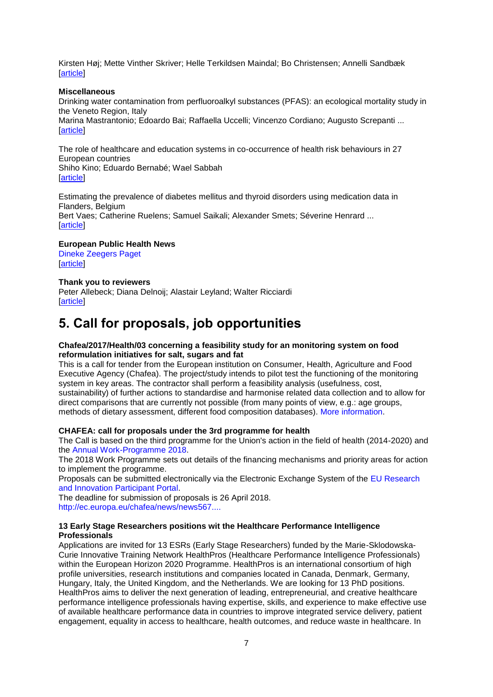[Kirsten Høj;](http://euphapedia.eupha.org/newsletter/https:/academic.oup.com/eurpub/search-results?f_Authors=Kirsten+H%c3%b8j) [Mette Vinther Skriver;](http://euphapedia.eupha.org/newsletter/https:/academic.oup.com/eurpub/search-results?f_Authors=Mette+Vinther+Skriver) [Helle Terkildsen Maindal;](http://euphapedia.eupha.org/newsletter/https:/academic.oup.com/eurpub/search-results?f_Authors=Helle+Terkildsen+Maindal) [Bo Christensen;](http://euphapedia.eupha.org/newsletter/https:/academic.oup.com/eurpub/search-results?f_Authors=Bo+Christensen) [Annelli Sandbæk](http://euphapedia.eupha.org/newsletter/https:/academic.oup.com/eurpub/search-results?f_Authors=Annelli+Sandb%c3%a6k) [\[article\]](https://doi.org/10.1093/eurpub/ckx108)

#### **Miscellaneous**

[Drinking water contamination from perfluoroalkyl substances \(PFAS\): an ecological mortality study in](http://euphapedia.eupha.org/newsletter/https:/academic.oup.com/eurpub/article/28/1/180/3852033)  [the Veneto Region, Italy](http://euphapedia.eupha.org/newsletter/https:/academic.oup.com/eurpub/article/28/1/180/3852033) [Marina Mastrantonio;](http://euphapedia.eupha.org/newsletter/https:/academic.oup.com/eurpub/search-results?f_Authors=Marina+Mastrantonio) [Edoardo Bai;](http://euphapedia.eupha.org/newsletter/https:/academic.oup.com/eurpub/search-results?f_Authors=Edoardo+Bai) [Raffaella Uccelli;](http://euphapedia.eupha.org/newsletter/https:/academic.oup.com/eurpub/search-results?f_Authors=Raffaella+Uccelli) [Vincenzo Cordiano;](http://euphapedia.eupha.org/newsletter/https:/academic.oup.com/eurpub/search-results?f_Authors=Vincenzo+Cordiano) [Augusto Screpanti](http://euphapedia.eupha.org/newsletter/https:/academic.oup.com/eurpub/search-results?f_Authors=Augusto+Screpanti) ... [\[article\]](https://doi.org/10.1093/eurpub/ckx066)

[The role of healthcare and education systems in co-occurrence of health risk behaviours in 27](http://euphapedia.eupha.org/newsletter/https:/academic.oup.com/eurpub/article/28/1/186/3857722)  [European countries](http://euphapedia.eupha.org/newsletter/https:/academic.oup.com/eurpub/article/28/1/186/3857722) [Shiho Kino;](http://euphapedia.eupha.org/newsletter/https:/academic.oup.com/eurpub/search-results?f_Authors=Shiho+Kino) [Eduardo Bernabé;](http://euphapedia.eupha.org/newsletter/https:/academic.oup.com/eurpub/search-results?f_Authors=Eduardo+Bernab%c3%a9) [Wael Sabbah](http://euphapedia.eupha.org/newsletter/https:/academic.oup.com/eurpub/search-results?f_Authors=Wael+Sabbah) [\[article\]](https://doi.org/10.1093/eurpub/ckx071)

[Estimating the prevalence of diabetes mellitus and thyroid disorders using medication data in](http://euphapedia.eupha.org/newsletter/https:/academic.oup.com/eurpub/article/28/1/193/3976042)  [Flanders, Belgium](http://euphapedia.eupha.org/newsletter/https:/academic.oup.com/eurpub/article/28/1/193/3976042) [Bert Vaes;](http://euphapedia.eupha.org/newsletter/https:/academic.oup.com/eurpub/search-results?f_Authors=Bert+Vaes) [Catherine Ruelens;](http://euphapedia.eupha.org/newsletter/https:/academic.oup.com/eurpub/search-results?f_Authors=Catherine+Ruelens) [Samuel Saikali;](http://euphapedia.eupha.org/newsletter/https:/academic.oup.com/eurpub/search-results?f_Authors=Samuel+Saikali) [Alexander Smets;](http://euphapedia.eupha.org/newsletter/https:/academic.oup.com/eurpub/search-results?f_Authors=Alexander+Smets) [Séverine Henrard](http://euphapedia.eupha.org/newsletter/https:/academic.oup.com/eurpub/search-results?f_Authors=S%c3%a9verine+Henrard) ... **Tarticle1** 

### **[European Public Health News](http://euphapedia.eupha.org/newsletter/https:/academic.oup.com/eurpub/article/28/1/199/4811972)**

[Dineke Zeegers Paget](http://euphapedia.eupha.org/newsletter/https:/academic.oup.com/eurpub/search-results?f_Authors=Dineke+Zeegers+Paget) [\[article\]](https://doi.org/10.1093/eurpub/ckx218)

#### **Thank you to reviewers**

[Peter Allebeck;](http://euphapedia.eupha.org/newsletter/https:/academic.oup.com/eurpub/search-results?f_Authors=Peter+Allebeck) [Diana Delnoij;](http://euphapedia.eupha.org/newsletter/https:/academic.oup.com/eurpub/search-results?f_Authors=Diana+Delnoij) [Alastair Leyland;](http://euphapedia.eupha.org/newsletter/https:/academic.oup.com/eurpub/search-results?f_Authors=Alastair+Leyland) [Walter Ricciardi](http://euphapedia.eupha.org/newsletter/https:/academic.oup.com/eurpub/search-results?f_Authors=Walter+Ricciardi) **Tarticle1** 

# <span id="page-6-0"></span>**5. Call for proposals, job opportunities**

#### **Chafea/2017/Health/03 concerning a feasibility study for an monitoring system on food reformulation initiatives for salt, sugars and fat**

This is a call for tender from the European institution on Consumer, Health, Agriculture and Food Executive Agency (Chafea). The project/study intends to pilot test the functioning of the monitoring system in key areas. The contractor shall perform a feasibility analysis (usefulness, cost, sustainability) of further actions to standardise and harmonise related data collection and to allow for direct comparisons that are currently not possible (from many points of view, e.g.: age groups, methods of dietary assessment, different food composition databases). [More information.](https://etendering.ted.europa.eu/cft/cft-display.html?cftId=3068)

#### **CHAFEA: call for proposals under the 3rd programme for health**

The Call is based on the third programme for the Union's action in the field of health (2014-2020) and the [Annual Work-Programme 2018.](https://ec.europa.eu/health/funding/programme/adoption_workplan_2018_en)

The 2018 Work Programme sets out details of the financing mechanisms and priority areas for action to implement the programme.

Proposals can be submitted electronically via the Electronic Exchange System of the [EU Research](http://ec.europa.eu/research/participants/portal/desktop/en/opportunities/3hp/index.html#c,calls=hasForthcomingTopics/t/true/1/1/0/default-groupandhasOpenTopics/t/true/1/1/0/default-groupandallClosedTopics/t/true/0/1/0/default-groupand+PublicationDateLong/asc)  [and Innovation Participant Portal.](http://ec.europa.eu/research/participants/portal/desktop/en/opportunities/3hp/index.html#c,calls=hasForthcomingTopics/t/true/1/1/0/default-groupandhasOpenTopics/t/true/1/1/0/default-groupandallClosedTopics/t/true/0/1/0/default-groupand+PublicationDateLong/asc)

The deadline for submission of proposals is 26 April 2018. [http://ec.europa.eu/chafea/news/news567....](http://ec.europa.eu/chafea/news/news567.html)

#### **13 Early Stage Researchers positions wit the Healthcare Performance Intelligence Professionals**

Applications are invited for 13 ESRs (Early Stage Researchers) funded by the Marie-Sklodowska-Curie Innovative Training Network HealthPros (Healthcare Performance Intelligence Professionals) within the European Horizon 2020 Programme. HealthPros is an international consortium of high profile universities, research institutions and companies located in Canada, Denmark, Germany, Hungary, Italy, the United Kingdom, and the Netherlands. We are looking for 13 PhD positions. HealthPros aims to deliver the next generation of leading, entrepreneurial, and creative healthcare performance intelligence professionals having expertise, skills, and experience to make effective use of available healthcare performance data in countries to improve integrated service delivery, patient engagement, equality in access to healthcare, health outcomes, and reduce waste in healthcare. In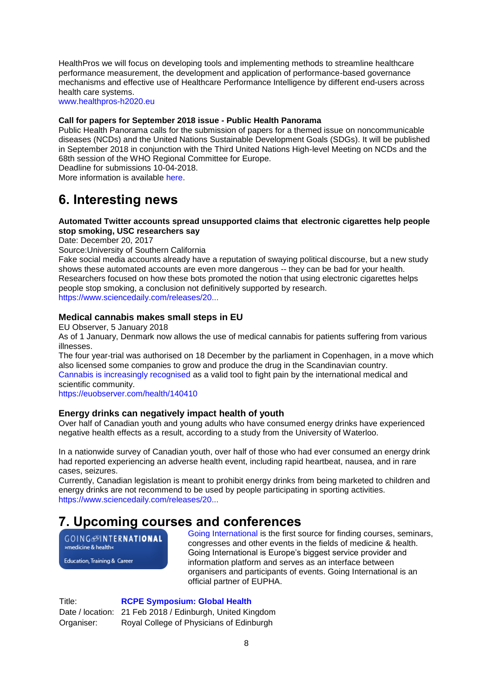HealthPros we will focus on developing tools and implementing methods to streamline healthcare performance measurement, the development and application of performance-based governance mechanisms and effective use of Healthcare Performance Intelligence by different end-users across health care systems.

[www.healthpros-h2020.eu](http://www.healthpros-h2020.eu/)

### **Call for papers for September 2018 issue - Public Health Panorama**

Public Health Panorama calls for the submission of papers for a themed issue on noncommunicable diseases (NCDs) and the United Nations Sustainable Development Goals (SDGs). It will be published in September 2018 in conjunction with the Third United Nations High-level Meeting on NCDs and the 68th session of the WHO Regional Committee for Europe. Deadline for submissions 10-04-2018.

More information is available [here.](https://who.us4.list-manage.com/track/click?u=bb832ff4c9f8efad547ffcf69andid=692418788dande=4ed05d64ba)

# <span id="page-7-0"></span>**6. Interesting news**

## **Automated Twitter accounts spread unsupported claims that electronic cigarettes help people stop smoking, USC researchers say**

Date: December 20, 2017

Source:University of Southern California

Fake social media accounts already have a reputation of swaying political discourse, but a new study shows these automated accounts are even more dangerous -- they can be bad for your health. Researchers focused on how these bots promoted the notion that using electronic cigarettes helps people stop smoking, a conclusion not definitively supported by research. [https://www.sciencedaily.com/releases/20...](https://www.sciencedaily.com/releases/2017/12/171220131649.htm?utm_source=feedburner&utm_medium=email&utm_campaign=Feed%3A+sciencedaily%2Fscience_society%2Fpublic_health+%28Public+Health+News+--+Scien)

### **Medical cannabis makes small steps in EU**

EU Observer, 5 January 2018

As of 1 January, Denmark now allows the use of medical cannabis for patients suffering from various illnesses.

The four year-trial was authorised on 18 December by the parliament in Copenhagen, in a move which also licensed some companies to grow and produce the drug in the Scandinavian country. [Cannabis is increasingly recognised](http://www.who.int/substance_abuse/facts/cannabis/en/) as a valid tool to fight pain by the international medical and scientific community.

<https://euobserver.com/health/140410>

## **Energy drinks can negatively impact health of youth**

Over half of Canadian youth and young adults who have consumed energy drinks have experienced negative health effects as a result, according to a study from the University of Waterloo.

In a nationwide survey of Canadian youth, over half of those who had ever consumed an energy drink had reported experiencing an adverse health event, including rapid heartbeat, nausea, and in rare cases, seizures.

Currently, Canadian legislation is meant to prohibit energy drinks from being marketed to children and energy drinks are not recommend to be used by people participating in sporting activities. [https://www.sciencedaily.com/releases/20...](https://www.sciencedaily.com/releases/2018/01/180115094219.htm?utm_source=feedburner&utm_medium=email&utm_campaign=Feed%3A+sciencedaily%2Fscience_society%2Fpublic_health+%28Public+Health+News+--+Scien)

## <span id="page-7-1"></span>**7. Upcoming courses and conferences**

**GOING**@INTERNATIONAL »medicine & health«

Education, Training & Career

[Going International](http://www.goinginternational.eu/) is the first source for finding courses, seminars, congresses and other events in the fields of medicine & health. Going International is Europe's biggest service provider and information platform and serves as an interface between organisers and participants of events. Going International is an official partner of EUPHA.

Title: **[RCPE Symposium: Global Health](http://events.rcpe.ac.uk/events/550/global-health-conference)** Date / location: 21 Feb 2018 / Edinburgh, United Kingdom Organiser: Royal College of Physicians of Edinburgh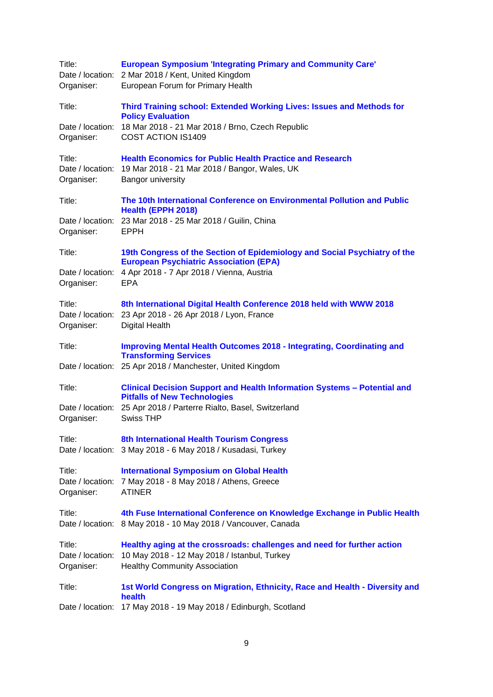| Title:<br>Organiser:                     | <b>European Symposium 'Integrating Primary and Community Care'</b><br>Date / location: 2 Mar 2018 / Kent, United Kingdom<br>European Forum for Primary Health   |
|------------------------------------------|-----------------------------------------------------------------------------------------------------------------------------------------------------------------|
| Title:                                   | Third Training school: Extended Working Lives: Issues and Methods for<br><b>Policy Evaluation</b>                                                               |
| Date / location:<br>Organiser:           | 18 Mar 2018 - 21 Mar 2018 / Brno, Czech Republic<br>COST ACTION IS1409                                                                                          |
| Title:<br>Organiser:                     | <b>Health Economics for Public Health Practice and Research</b><br>Date / location: 19 Mar 2018 - 21 Mar 2018 / Bangor, Wales, UK<br>Bangor university          |
| Title:                                   | The 10th International Conference on Environmental Pollution and Public<br>Health (EPPH 2018)                                                                   |
| Organiser:                               | Date / location: 23 Mar 2018 - 25 Mar 2018 / Guilin, China<br><b>EPPH</b>                                                                                       |
| Title:                                   | 19th Congress of the Section of Epidemiology and Social Psychiatry of the                                                                                       |
| Organiser:                               | <b>European Psychiatric Association (EPA)</b><br>Date / location: 4 Apr 2018 - 7 Apr 2018 / Vienna, Austria<br><b>EPA</b>                                       |
| Title:<br>Date / location:<br>Organiser: | 8th International Digital Health Conference 2018 held with WWW 2018<br>23 Apr 2018 - 26 Apr 2018 / Lyon, France<br><b>Digital Health</b>                        |
| Title:                                   | <b>Improving Mental Health Outcomes 2018 - Integrating, Coordinating and</b>                                                                                    |
| Date / location:                         | <b>Transforming Services</b><br>25 Apr 2018 / Manchester, United Kingdom                                                                                        |
| Title:                                   | Clinical Decision Support and Health Information Systems - Potential and                                                                                        |
| Date / location:<br>Organiser:           | <b>Pitfalls of New Technologies</b><br>25 Apr 2018 / Parterre Rialto, Basel, Switzerland<br><b>Swiss THP</b>                                                    |
| Title:                                   | 8th International Health Tourism Congress<br>Date / location: 3 May 2018 - 6 May 2018 / Kusadasi, Turkey                                                        |
| Title:<br>Date / location:<br>Organiser: | <b>International Symposium on Global Health</b><br>7 May 2018 - 8 May 2018 / Athens, Greece<br><b>ATINER</b>                                                    |
| Title:<br>Date / location:               | 4th Fuse International Conference on Knowledge Exchange in Public Health<br>8 May 2018 - 10 May 2018 / Vancouver, Canada                                        |
| Title:<br>Date / location:<br>Organiser: | Healthy aging at the crossroads: challenges and need for further action<br>10 May 2018 - 12 May 2018 / Istanbul, Turkey<br><b>Healthy Community Association</b> |
| Title:                                   | 1st World Congress on Migration, Ethnicity, Race and Health - Diversity and<br>health                                                                           |
| Date / location:                         | 17 May 2018 - 19 May 2018 / Edinburgh, Scotland                                                                                                                 |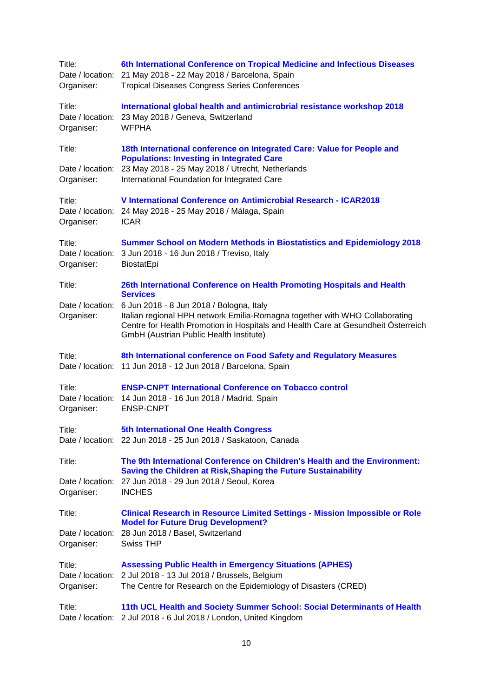| Title:<br>Organiser:                     | 6th International Conference on Tropical Medicine and Infectious Diseases<br>Date / location: 21 May 2018 - 22 May 2018 / Barcelona, Spain<br><b>Tropical Diseases Congress Series Conferences</b>                                                      |
|------------------------------------------|---------------------------------------------------------------------------------------------------------------------------------------------------------------------------------------------------------------------------------------------------------|
| Title:<br>Date / location:<br>Organiser: | International global health and antimicrobrial resistance workshop 2018<br>23 May 2018 / Geneva, Switzerland<br><b>WFPHA</b>                                                                                                                            |
| Title:<br>Date / location:               | 18th International conference on Integrated Care: Value for People and<br><b>Populations: Investing in Integrated Care</b><br>23 May 2018 - 25 May 2018 / Utrecht, Netherlands                                                                          |
| Organiser:                               | International Foundation for Integrated Care                                                                                                                                                                                                            |
| Title:<br>Date / location:<br>Organiser: | V International Conference on Antimicrobial Research - ICAR2018<br>24 May 2018 - 25 May 2018 / Málaga, Spain<br><b>ICAR</b>                                                                                                                             |
| Title:<br>Organiser:                     | <b>Summer School on Modern Methods in Biostatistics and Epidemiology 2018</b><br>Date / location: 3 Jun 2018 - 16 Jun 2018 / Treviso, Italy<br>BiostatEpi                                                                                               |
| Title:                                   | 26th International Conference on Health Promoting Hospitals and Health<br><b>Services</b>                                                                                                                                                               |
| Date / location:<br>Organiser:           | 6 Jun 2018 - 8 Jun 2018 / Bologna, Italy<br>Italian regional HPH network Emilia-Romagna together with WHO Collaborating<br>Centre for Health Promotion in Hospitals and Health Care at Gesundheit Österreich<br>GmbH (Austrian Public Health Institute) |
| Title:                                   | 8th International conference on Food Safety and Regulatory Measures<br>Date / location: 11 Jun 2018 - 12 Jun 2018 / Barcelona, Spain                                                                                                                    |
| Title:<br>Organiser:                     | <b>ENSP-CNPT International Conference on Tobacco control</b><br>Date / location: 14 Jun 2018 - 16 Jun 2018 / Madrid, Spain<br><b>ENSP-CNPT</b>                                                                                                          |
| Title:                                   | <b>5th International One Health Congress</b><br>Date / location: 22 Jun 2018 - 25 Jun 2018 / Saskatoon, Canada                                                                                                                                          |
| Title:                                   | The 9th International Conference on Children's Health and the Environment:                                                                                                                                                                              |
| Date / location:<br>Organiser:           | Saving the Children at Risk, Shaping the Future Sustainability<br>27 Jun 2018 - 29 Jun 2018 / Seoul, Korea<br><b>INCHES</b>                                                                                                                             |
| Title:                                   | <b>Clinical Research in Resource Limited Settings - Mission Impossible or Role</b>                                                                                                                                                                      |
| Organiser:                               | <b>Model for Future Drug Development?</b><br>Date / location: 28 Jun 2018 / Basel, Switzerland<br><b>Swiss THP</b>                                                                                                                                      |
| Title:<br>Organiser:                     | <b>Assessing Public Health in Emergency Situations (APHES)</b><br>Date / location: 2 Jul 2018 - 13 Jul 2018 / Brussels, Belgium<br>The Centre for Research on the Epidemiology of Disasters (CRED)                                                      |
| Title:                                   | 11th UCL Health and Society Summer School: Social Determinants of Health<br>Date / location: 2 Jul 2018 - 6 Jul 2018 / London, United Kingdom                                                                                                           |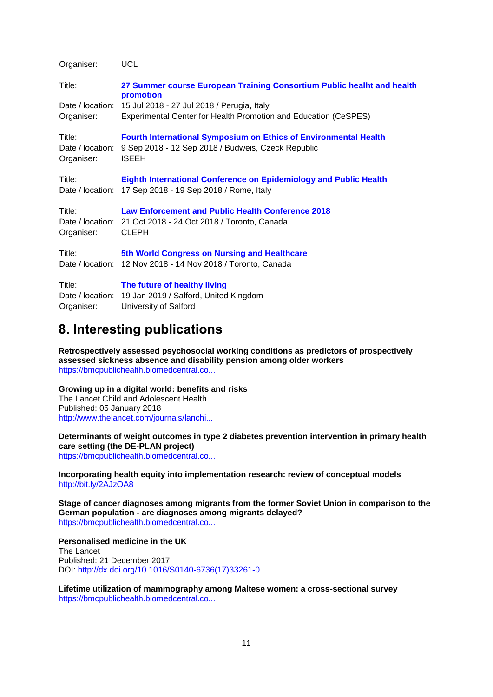| Organiser:                               | UCL                                                                                                                                           |
|------------------------------------------|-----------------------------------------------------------------------------------------------------------------------------------------------|
| Title:                                   | 27 Summer course European Training Consortium Public healht and health<br>promotion                                                           |
| Date / location:<br>Organiser:           | 15 Jul 2018 - 27 Jul 2018 / Perugia, Italy<br>Experimental Center for Health Promotion and Education (CeSPES)                                 |
| Title:<br>Date / location:<br>Organiser: | <b>Fourth International Symposium on Ethics of Environmental Health</b><br>9 Sep 2018 - 12 Sep 2018 / Budweis, Czeck Republic<br><b>ISEEH</b> |
| Title:                                   | <b>Eighth International Conference on Epidemiology and Public Health</b><br>Date / location: 17 Sep 2018 - 19 Sep 2018 / Rome, Italy          |
| Title:<br>Organiser:                     | <b>Law Enforcement and Public Health Conference 2018</b><br>Date / location: 21 Oct 2018 - 24 Oct 2018 / Toronto, Canada<br><b>CLEPH</b>      |
| Title:                                   | 5th World Congress on Nursing and Healthcare<br>Date / location: 12 Nov 2018 - 14 Nov 2018 / Toronto, Canada                                  |
| Title:<br>Date / location:<br>Organiser: | The future of healthy living<br>19 Jan 2019 / Salford, United Kingdom<br>University of Salford                                                |

## <span id="page-10-0"></span>**8. Interesting publications**

**Retrospectively assessed psychosocial working conditions as predictors of prospectively assessed sickness absence and disability pension among older workers** [https://bmcpublichealth.biomedcentral.co...](https://bmcpublichealth.biomedcentral.com/articles/10.1186/s12889-018-5047-z)

#### **Growing up in a digital world: benefits and risks**

The Lancet Child and Adolescent Health Published: 05 January 2018 [http://www.thelancet.com/journals/lanchi...](http://www.thelancet.com/journals/lanchi/article/PIIS2352-4642(18)30002-6/fulltext?elsca1=etoc)

### **Determinants of weight outcomes in type 2 diabetes prevention intervention in primary health care setting (the DE-PLAN project)**

[https://bmcpublichealth.biomedcentral.co...](https://bmcpublichealth.biomedcentral.com/articles/10.1186/s12889-017-4977-1)

#### **Incorporating health equity into implementation research: review of conceptual models**  <http://bit.ly/2AJzOA8>

**Stage of cancer diagnoses among migrants from the former Soviet Union in comparison to the German population - are diagnoses among migrants delayed?** [https://bmcpublichealth.biomedcentral.co...](https://bmcpublichealth.biomedcentral.com/articles/10.1186/s12889-018-5046-0)

#### **Personalised medicine in the UK** The Lancet Published: 21 December 2017 DOI: [http://dx.doi.org/10.1016/S0140-6736\(17\)33261-0](http://dx.doi.org/10.1016/S0140-6736(17)33261-0)

**Lifetime utilization of mammography among Maltese women: a cross-sectional survey** [https://bmcpublichealth.biomedcentral.co...](https://bmcpublichealth.biomedcentral.com/articles/10.1186/s12889-018-5093-6)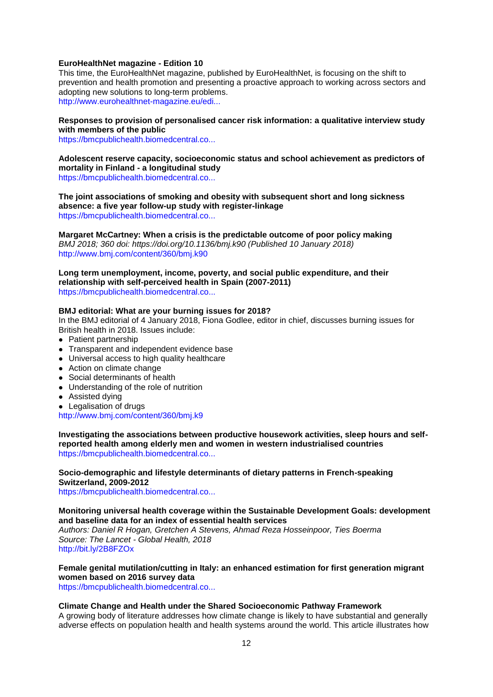#### **EuroHealthNet magazine - Edition 10**

This time, the EuroHealthNet magazine, published by EuroHealthNet, is focusing on the shift to prevention and health promotion and presenting a proactive approach to working across sectors and adopting new solutions to long-term problems. [http://www.eurohealthnet-magazine.eu/edi...](http://www.eurohealthnet-magazine.eu/editions/ehn-magazine-10/)

#### **Responses to provision of personalised cancer risk information: a qualitative interview study with members of the public**

[https://bmcpublichealth.biomedcentral.co...](https://bmcpublichealth.biomedcentral.com/articles/10.1186/s12889-017-4985-1)

**Adolescent reserve capacity, socioeconomic status and school achievement as predictors of mortality in Finland - a longitudinal study** [https://bmcpublichealth.biomedcentral.co...](https://bmcpublichealth.biomedcentral.com/articles/10.1186/s12889-017-4990-4)

**The joint associations of smoking and obesity with subsequent short and long sickness absence: a five year follow-up study with register-linkage** [https://bmcpublichealth.biomedcentral.co...](https://bmcpublichealth.biomedcentral.com/articles/10.1186/s12889-017-4997-x)

**Margaret McCartney: When a crisis is the predictable outcome of poor policy making** *BMJ 2018; 360 doi: https://doi.org/10.1136/bmj.k90 (Published 10 January 2018)*  [http://www.bmj.com/content/360/bmj.k90](http://www.bmj.com/content/360/bmj.k90?utm_medium=email&utm_campaign_name=20180111&utm_source=etoc_daily)

**Long term unemployment, income, poverty, and social public expenditure, and their relationship with self-perceived health in Spain (2007-2011)** [https://bmcpublichealth.biomedcentral.co...](https://bmcpublichealth.biomedcentral.com/articles/10.1186/s12889-017-5004-2)

#### **BMJ editorial: What are your burning issues for 2018?**

In the BMJ editorial of 4 January 2018, Fiona Godlee, editor in chief, discusses burning issues for British health in 2018. Issues include:

- Patient partnership
- Transparent and independent evidence base
- Universal access to high quality healthcare
- Action on climate change
- Social determinants of health
- Understanding of the role of nutrition
- Assisted dying
- Legalisation of drugs

[http://www.bmj.com/content/360/bmj.k9](http://www.bmj.com/content/360/bmj.k9?utm_medium=email&utm_campaign_name=20180105&utm_source=etoc_weekly)

**Investigating the associations between productive housework activities, sleep hours and selfreported health among elderly men and women in western industrialised countries** [https://bmcpublichealth.biomedcentral.co...](https://bmcpublichealth.biomedcentral.com/articles/10.1186/s12889-017-4979-z)

**Socio-demographic and lifestyle determinants of dietary patterns in French-speaking Switzerland, 2009-2012**

[https://bmcpublichealth.biomedcentral.co...](https://bmcpublichealth.biomedcentral.com/articles/10.1186/s12889-018-5045-1)

#### **Monitoring universal health coverage within the Sustainable Development Goals: development and baseline data for an index of essential health services**

*Authors: Daniel R Hogan, Gretchen A Stevens, Ahmad Reza Hosseinpoor, Ties Boerma Source: The Lancet - Global Health, 2018* <http://bit.ly/2B8FZOx>

**Female genital mutilation/cutting in Italy: an enhanced estimation for first generation migrant women based on 2016 survey data**

[https://bmcpublichealth.biomedcentral.co...](https://bmcpublichealth.biomedcentral.com/articles/10.1186/s12889-017-5000-6)

#### **Climate Change and Health under the Shared Socioeconomic Pathway Framework**

A growing body of literature addresses how climate change is likely to have substantial and generally adverse effects on population health and health systems around the world. This article illustrates how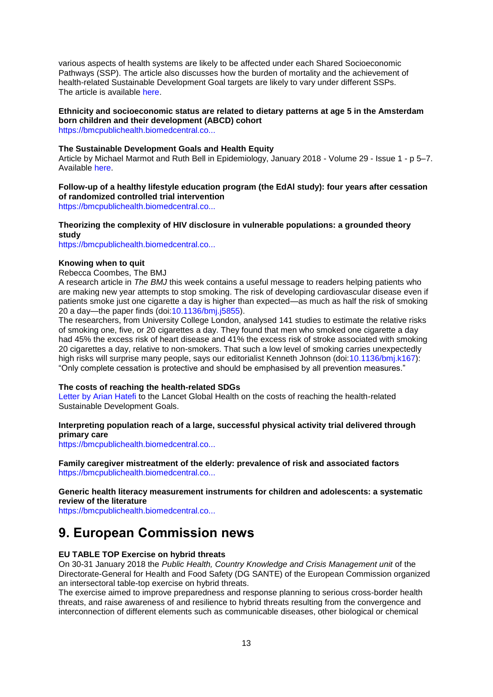various aspects of health systems are likely to be affected under each Shared Socioeconomic Pathways (SSP). The article also discusses how the burden of mortality and the achievement of health-related Sustainable Development Goal targets are likely to vary under different SSPs. The article is available [here.](https://who.us15.list-manage.com/track/click?u=4bb3bb689562f6b700db2eb33andid=3fd5ac9134ande=f82cd64247)

### **Ethnicity and socioeconomic status are related to dietary patterns at age 5 in the Amsterdam born children and their development (ABCD) cohort**

[https://bmcpublichealth.biomedcentral.co...](https://bmcpublichealth.biomedcentral.com/articles/10.1186/s12889-017-5014-0)

#### **The Sustainable Development Goals and Health Equity**

Article by Michael Marmot and Ruth Bell in Epidemiology, January 2018 - Volume 29 - Issue 1 - p 5–7. Available [here.](https://journals.lww.com/epidem/fulltext/2018/01000/The_Sustainable_Development_Goals_and_Health.2.aspx)

## **Follow-up of a healthy lifestyle education program (the EdAl study): four years after cessation of randomized controlled trial intervention**

[https://bmcpublichealth.biomedcentral.co...](https://bmcpublichealth.biomedcentral.com/articles/10.1186/s12889-017-5006-0)

#### **Theorizing the complexity of HIV disclosure in vulnerable populations: a grounded theory study**

[https://bmcpublichealth.biomedcentral.co...](https://bmcpublichealth.biomedcentral.com/articles/10.1186/s12889-018-5073-x)

#### **Knowing when to quit**

Rebecca Coombes, The BMJ

A research article in *The BMJ* this week contains a useful message to readers helping patients who are making new year attempts to stop smoking. The risk of developing cardiovascular disease even if patients smoke just one cigarette a day is higher than expected—as much as half the risk of smoking 20 a day—the paper finds (doi[:10.1136/bmj.j5855\)](http://emails.bmj.com/c/136599pTqDjPp4fRU9AnffVOaVY).

The researchers, from University College London, analysed 141 studies to estimate the relative risks of smoking one, five, or 20 cigarettes a day. They found that men who smoked one cigarette a day had 45% the excess risk of heart disease and 41% the excess risk of stroke associated with smoking 20 cigarettes a day, relative to non-smokers. That such a low level of smoking carries unexpectedly high risks will surprise many people, says our editorialist Kenneth Johnson (doi[:10.1136/bmj.k167\)](http://emails.bmj.com/c/13659hcC5sukmvjq3j8rLEI6vRb); "Only complete cessation is protective and should be emphasised by all prevention measures."

#### **The costs of reaching the health-related SDGs**

[Letter by Arian Hatefi](http://www.thelancet.com/journals/langlo/article/PIIS2214-109X(17)30415-1/fulltext) to the Lancet Global Health on the costs of reaching the health-related Sustainable Development Goals.

#### **Interpreting population reach of a large, successful physical activity trial delivered through primary care**

[https://bmcpublichealth.biomedcentral.co...](https://bmcpublichealth.biomedcentral.com/articles/10.1186/s12889-018-5034-4)

**Family caregiver mistreatment of the elderly: prevalence of risk and associated factors** [https://bmcpublichealth.biomedcentral.co...](https://bmcpublichealth.biomedcentral.com/articles/10.1186/s12889-018-5067-8)

### **Generic health literacy measurement instruments for children and adolescents: a systematic review of the literature**

[https://bmcpublichealth.biomedcentral.co...](https://bmcpublichealth.biomedcentral.com/articles/10.1186/s12889-018-5054-0)

## <span id="page-12-0"></span>**9. European Commission news**

#### **EU TABLE TOP Exercise on hybrid threats**

On 30-31 January 2018 the *Public Health, Country Knowledge and Crisis Management unit* of the Directorate-General for Health and Food Safety (DG SANTE) of the European Commission organized an intersectoral table-top exercise on hybrid threats.

The exercise aimed to improve preparedness and response planning to serious cross-border health threats, and raise awareness of and resilience to hybrid threats resulting from the convergence and interconnection of different elements such as communicable diseases, other biological or chemical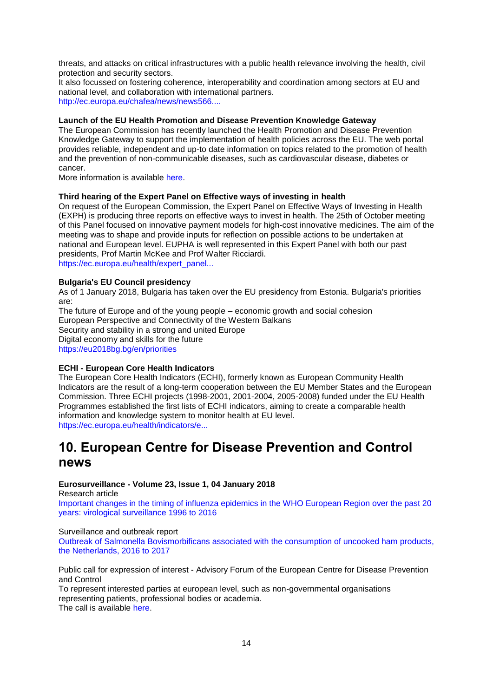threats, and attacks on critical infrastructures with a public health relevance involving the health, civil protection and security sectors.

It also focussed on fostering coherence, interoperability and coordination among sectors at EU and national level, and collaboration with international partners. [http://ec.europa.eu/chafea/news/news566....](http://ec.europa.eu/chafea/news/news566.html)

### **Launch of the EU Health Promotion and Disease Prevention Knowledge Gateway**

The European Commission has recently launched the Health Promotion and Disease Prevention Knowledge Gateway to support the implementation of health policies across the EU. The web portal provides reliable, independent and up-to date information on topics related to the promotion of health and the prevention of non-communicable diseases, such as cardiovascular disease, diabetes or cancer.

More information is available [here.](https://ec.europa.eu/jrc/en/health-knowledge-gateway)

#### **Third hearing of the Expert Panel on Effective ways of investing in health**

On request of the European Commission, the Expert Panel on Effective Ways of Investing in Health (EXPH) is producing three reports on effective ways to invest in health. The 25th of October meeting of this Panel focused on innovative payment models for high-cost innovative medicines. The aim of the meeting was to shape and provide inputs for reflection on possible actions to be undertaken at national and European level. EUPHA is well represented in this Expert Panel with both our past presidents, Prof Martin McKee and Prof Walter Ricciardi. [https://ec.europa.eu/health/expert\\_panel...](https://ec.europa.eu/health/expert_panel/home_en)

#### **Bulgaria's EU Council presidency**

As of 1 January 2018, Bulgaria has taken over the EU presidency from Estonia. Bulgaria's priorities are:

The future of Europe and of the young people – economic growth and social cohesion European Perspective and Connectivity of the Western Balkans Security and stability in a strong and united Europe Digital economy and skills for the future <https://eu2018bg.bg/en/priorities>

#### **ECHI - European Core Health Indicators**

The European Core Health Indicators (ECHI), formerly known as European Community Health Indicators are the result of a long-term cooperation between the EU Member States and the European Commission. Three ECHI projects (1998-2001, 2001-2004, 2005-2008) funded under the EU Health Programmes established the first lists of ECHI indicators, aiming to create a comparable health information and knowledge system to monitor health at EU level. [https://ec.europa.eu/health/indicators/e...](https://ec.europa.eu/health/indicators/echi/list_en#id3)

## <span id="page-13-0"></span>**10. European Centre for Disease Prevention and Control news**

### **Eurosurveillance - Volume 23, Issue 1, 04 January 2018**

Research article

[Important changes in the timing of influenza epidemics in the WHO European Region over the past 20](http://www.eurosurveillance.org/content/10.2807/1560-7917.ES.2018.23.1.17-00302)  [years: virological surveillance 1996 to 2016](http://www.eurosurveillance.org/content/10.2807/1560-7917.ES.2018.23.1.17-00302)

#### Surveillance and outbreak report

Outbreak of Salmonella [Bovismorbificans associated with the consumption of uncooked ham products,](http://www.eurosurveillance.org/content/10.2807/1560-7917.ES.2018.23.1.17-00335)  [the Netherlands, 2016 to 2017](http://www.eurosurveillance.org/content/10.2807/1560-7917.ES.2018.23.1.17-00335)

Public call for expression of interest - Advisory Forum of the European Centre for Disease Prevention and Control

To represent interested parties at european level, such as non-governmental organisations representing patients, professional bodies or academia. The call is available [here.](https://ec.europa.eu/health/communicable_diseases/consultations/call_ecdc_advisoryforum_en)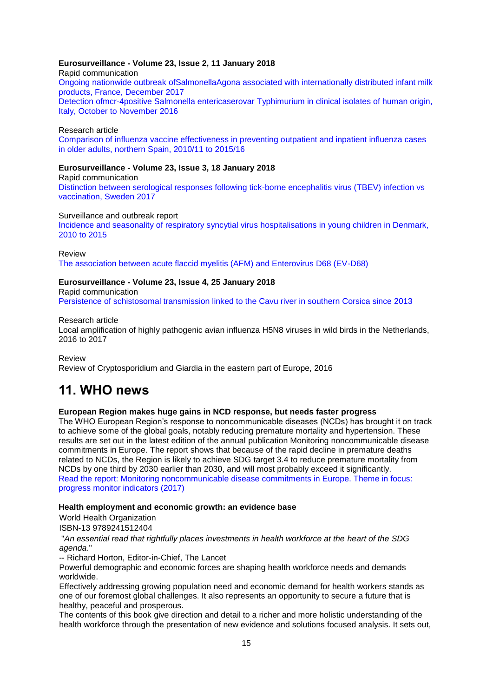## **Eurosurveillance - Volume 23, Issue 2, 11 January 2018**

Rapid communication [Ongoing nationwide outbreak ofSalmonellaAgona associated with internationally distributed infant milk](http://www.eurosurveillance.org/content/10.2807/1560-7917.ES.2018.23.2.17-00852)  [products, France, December 2017](http://www.eurosurveillance.org/content/10.2807/1560-7917.ES.2018.23.2.17-00852) [Detection ofmcr-4positive Salmonella entericaserovar Typhimurium in clinical isolates of human origin,](http://www.eurosurveillance.org/content/10.2807/1560-7917.ES.2018.23.2.17-00821)  [Italy, October to November 2016](http://www.eurosurveillance.org/content/10.2807/1560-7917.ES.2018.23.2.17-00821)

#### Research article

[Comparison of influenza vaccine effectiveness in preventing outpatient and inpatient influenza cases](http://www.eurosurveillance.org/content/10.2807/1560-7917.ES.2018.23.2.16-00780)  [in older adults, northern Spain, 2010/11 to 2015/16](http://www.eurosurveillance.org/content/10.2807/1560-7917.ES.2018.23.2.16-00780)

#### **Eurosurveillance - Volume 23, Issue 3, 18 January 2018**

Rapid communication [Distinction between serological responses following tick-borne encephalitis virus \(TBEV\) infection vs](http://www.eurosurveillance.org/content/10.2807/1560-7917.ES.2018.23.3.17-00838)  [vaccination, Sweden 2017](http://www.eurosurveillance.org/content/10.2807/1560-7917.ES.2018.23.3.17-00838)

#### Surveillance and outbreak report

[Incidence and seasonality of respiratory syncytial virus hospitalisations in young children in Denmark,](http://www.eurosurveillance.org/content/10.2807/1560-7917.ES.2018.23.3.17-00163)  [2010 to 2015](http://www.eurosurveillance.org/content/10.2807/1560-7917.ES.2018.23.3.17-00163)

#### Review [The association between acute flaccid myelitis \(AFM\) and Enterovirus D68 \(EV-D68\)](http://www.eurosurveillance.org/content/10.2807/1560-7917.ES.2018.23.3.17-00310)

#### **Eurosurveillance - Volume 23, Issue 4, 25 January 2018**

Rapid communication

[Persistence of schistosomal transmission linked to the Cavu river in southern Corsica since 2013](http://www.eurosurveillance.org/content/10.2807/1560-7917.ES.2018.23.4.18-00017)

#### Research article

Local amplification of highly pathogenic avian influenza H5N8 viruses in wild birds in the Netherlands, 2016 to 2017

Review

Review of Cryptosporidium and Giardia in the eastern part of Europe, 2016

## <span id="page-14-0"></span>**11. WHO news**

## **European Region makes huge gains in NCD response, but needs faster progress**

The WHO European Region's response to noncommunicable diseases (NCDs) has brought it on track to achieve some of the global goals, notably reducing premature mortality and hypertension. These results are set out in the latest edition of the annual publication Monitoring noncommunicable disease commitments in Europe. The report shows that because of the rapid decline in premature deaths related to NCDs, the Region is likely to achieve SDG target 3.4 to reduce premature mortality from NCDs by one third by 2030 earlier than 2030, and will most probably exceed it significantly. [Read the report: Monitoring noncommunicable disease commitments in Europe. Theme in focus:](https://who.us4.list-manage.com/track/click?u=bb832ff4c9f8efad547ffcf69andid=56faea8b2aande=58ab27574e)  [progress monitor indicators \(2017\)](https://who.us4.list-manage.com/track/click?u=bb832ff4c9f8efad547ffcf69andid=56faea8b2aande=58ab27574e)

#### **Health employment and economic growth: an evidence base**

World Health Organization

ISBN-13 9789241512404

"*An essential read that rightfully places investments in health workforce at the heart of the SDG agenda.*"

-- Richard Horton, Editor-in-Chief, The Lancet

Powerful demographic and economic forces are shaping health workforce needs and demands worldwide.

Effectively addressing growing population need and economic demand for health workers stands as one of our foremost global challenges. It also represents an opportunity to secure a future that is healthy, peaceful and prosperous.

The contents of this book give direction and detail to a richer and more holistic understanding of the health workforce through the presentation of new evidence and solutions focused analysis. It sets out,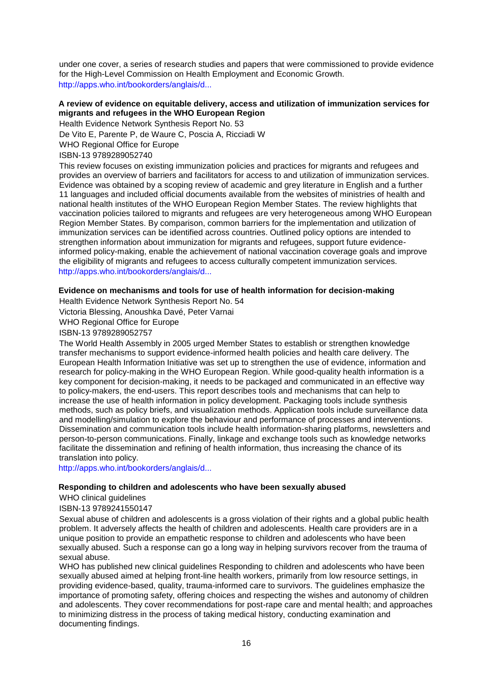under one cover, a series of research studies and papers that were commissioned to provide evidence for the High-Level Commission on Health Employment and Economic Growth. [http://apps.who.int/bookorders/anglais/d...](http://apps.who.int/bookorders/anglais/detart1.jsp?codlan=1&codcol=93&codcch=394)

## **A review of evidence on equitable delivery, access and utilization of immunization services for migrants and refugees in the WHO European Region**

Health Evidence Network Synthesis Report No. 53

De Vito E, Parente P, de Waure C, Poscia A, Ricciadi W

WHO Regional Office for Europe

ISBN-13 9789289052740

This review focuses on existing immunization policies and practices for migrants and refugees and provides an overview of barriers and facilitators for access to and utilization of immunization services. Evidence was obtained by a scoping review of academic and grey literature in English and a further 11 languages and included official documents available from the websites of ministries of health and national health institutes of the WHO European Region Member States. The review highlights that vaccination policies tailored to migrants and refugees are very heterogeneous among WHO European Region Member States. By comparison, common barriers for the implementation and utilization of immunization services can be identified across countries. Outlined policy options are intended to strengthen information about immunization for migrants and refugees, support future evidenceinformed policy-making, enable the achievement of national vaccination coverage goals and improve the eligibility of migrants and refugees to access culturally competent immunization services. [http://apps.who.int/bookorders/anglais/d...](http://apps.who.int/bookorders/anglais/detart1.jsp?codlan=1&codcol=34&codcch=189)

## **Evidence on mechanisms and tools for use of health information for decision-making**

Health Evidence Network Synthesis Report No. 54

Victoria Blessing, Anoushka Davé, Peter Varnai

WHO Regional Office for Europe

ISBN-13 9789289052757

The World Health Assembly in 2005 urged Member States to establish or strengthen knowledge transfer mechanisms to support evidence-informed health policies and health care delivery. The European Health Information Initiative was set up to strengthen the use of evidence, information and research for policy-making in the WHO European Region. While good-quality health information is a key component for decision-making, it needs to be packaged and communicated in an effective way to policy-makers, the end-users. This report describes tools and mechanisms that can help to increase the use of health information in policy development. Packaging tools include synthesis methods, such as policy briefs, and visualization methods. Application tools include surveillance data and modelling/simulation to explore the behaviour and performance of processes and interventions. Dissemination and communication tools include health information-sharing platforms, newsletters and person-to-person communications. Finally, linkage and exchange tools such as knowledge networks facilitate the dissemination and refining of health information, thus increasing the chance of its translation into policy.

[http://apps.who.int/bookorders/anglais/d...](http://apps.who.int/bookorders/anglais/detart1.jsp?codlan=1&codcol=34&codcch=190)

#### **Responding to children and adolescents who have been sexually abused**

WHO clinical guidelines

ISBN-13 9789241550147

Sexual abuse of children and adolescents is a gross violation of their rights and a global public health problem. It adversely affects the health of children and adolescents. Health care providers are in a unique position to provide an empathetic response to children and adolescents who have been sexually abused. Such a response can go a long way in helping survivors recover from the trauma of sexual abuse.

WHO has published new clinical quidelines Responding to children and adolescents who have been sexually abused aimed at helping front-line health workers, primarily from low resource settings, in providing evidence-based, quality, trauma-informed care to survivors. The guidelines emphasize the importance of promoting safety, offering choices and respecting the wishes and autonomy of children and adolescents. They cover recommendations for post-rape care and mental health; and approaches to minimizing distress in the process of taking medical history, conducting examination and documenting findings.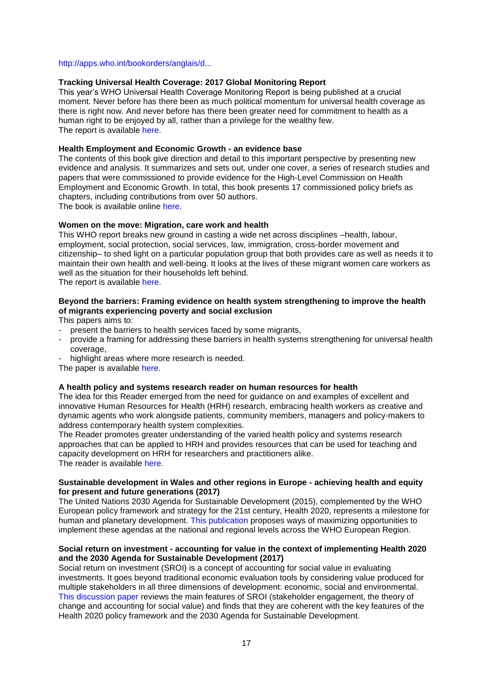#### [http://apps.who.int/bookorders/anglais/d...](http://apps.who.int/bookorders/anglais/detart1.jsp?codlan=1&codcol=93&codcch=389)

#### **Tracking Universal Health Coverage: 2017 Global Monitoring Report**

This year's WHO Universal Health Coverage Monitoring Report is being published at a crucial moment. Never before has there been as much political momentum for universal health coverage as there is right now. And never before has there been greater need for commitment to health as a human right to be enjoyed by all, rather than a privilege for the wealthy few. The report is available [here.](http://apps.who.int/iris/bitstream/10665/259817/1/9789241513555-eng.pdf)

#### **Health Employment and Economic Growth - an evidence base**

The contents of this book give direction and detail to this important perspective by presenting new evidence and analysis. It summarizes and sets out, under one cover, a series of research studies and papers that were commissioned to provide evidence for the High-Level Commission on Health Employment and Economic Growth. In total, this book presents 17 commissioned policy briefs as chapters, including contributions from over 50 authors.

The book is available online [here.](http://who.int/hrh/resources/WHO-HLC-Report_web.pdf?ua=1)

#### **Women on the move: Migration, care work and health**

This WHO report breaks new ground in casting a wide net across disciplines –health, labour, employment, social protection, social services, law, immigration, cross-border movement and citizenship– to shed light on a particular population group that both provides care as well as needs it to maintain their own health and well-being. It looks at the lives of these migrant women care workers as well as the situation for their households left behind. The report is available [here.](http://apps.who.int/iris/bitstream/10665/259463/1/9789241513142-eng.pdf)

## **Beyond the barriers: Framing evidence on health system strengthening to improve the health of migrants experiencing poverty and social exclusion**

This papers aims to:

- present the barriers to health services faced by some migrants,
- provide a framing for addressing these barriers in health systems strengthening for universal health coverage,
- highlight areas where more research is needed.

The paper is available [here.](http://apps.who.int/iris/bitstream/10665/259486/1/9789241513364-eng.pdf)

#### **A health policy and systems research reader on human resources for health**

The idea for this Reader emerged from the need for guidance on and examples of excellent and innovative Human Resources for Health (HRH) research, embracing health workers as creative and dynamic agents who work alongside patients, community members, managers and policy-makers to address contemporary health system complexities.

The Reader promotes greater understanding of the varied health policy and systems research approaches that can be applied to HRH and provides resources that can be used for teaching and capacity development on HRH for researchers and practitioners alike. The reader is available [here.](http://apps.who.int/iris/bitstream/10665/259460/1/9789241513357-eng.pdf)

#### **Sustainable development in Wales and other regions in Europe - achieving health and equity for present and future generations (2017)**

The United Nations 2030 Agenda for Sustainable Development (2015), complemented by the WHO European policy framework and strategy for the 21st century, Health 2020, represents a milestone for human and planetary development. [This publication p](https://who.us4.list-manage.com/track/click?u=bb832ff4c9f8efad547ffcf69andid=8ce586c925ande=58ab27574e)roposes ways of maximizing opportunities to implement these agendas at the national and regional levels across the WHO European Region.

#### **Social return on investment - accounting for value in the context of implementing Health 2020 and the 2030 Agenda for Sustainable Development (2017)**

Social return on investment (SROI) is a concept of accounting for social value in evaluating investments. It goes beyond traditional economic evaluation tools by considering value produced for multiple stakeholders in all three dimensions of development: economic, social and environmental. [This discussion paper](https://who.us4.list-manage.com/track/click?u=bb832ff4c9f8efad547ffcf69andid=44434fcc47ande=58ab27574e) reviews the main features of SROI (stakeholder engagement, the theory of change and accounting for social value) and finds that they are coherent with the key features of the Health 2020 policy framework and the 2030 Agenda for Sustainable Development.